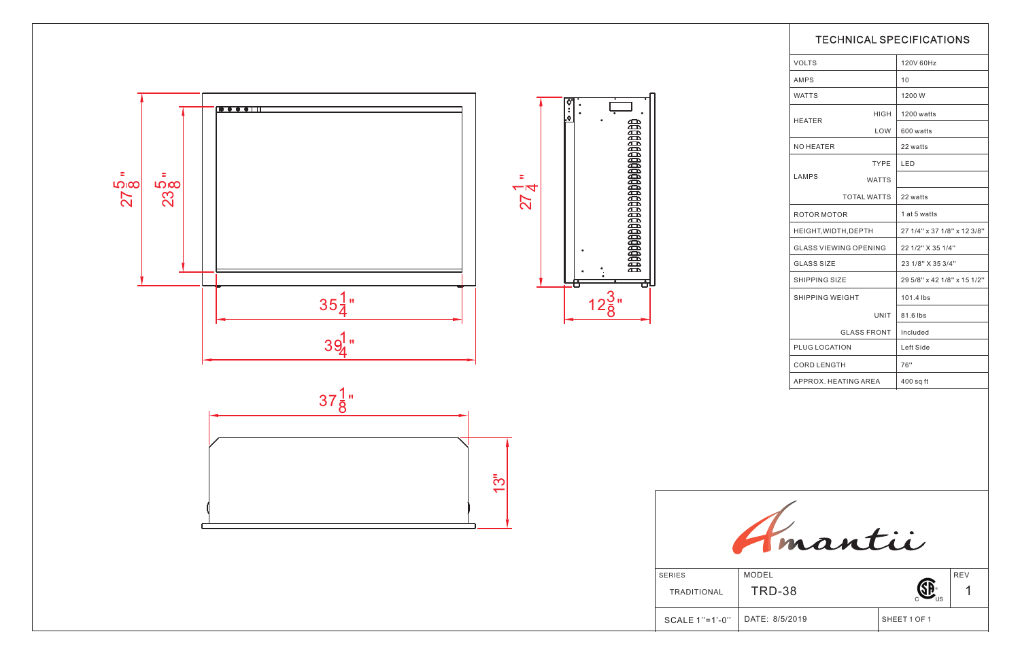|                                                                |                              | <b>TECHNICAL SPECIFICATIONS</b> |                             |  |
|----------------------------------------------------------------|------------------------------|---------------------------------|-----------------------------|--|
|                                                                | <b>VOLTS</b>                 |                                 | 120V 60Hz                   |  |
|                                                                | AMPS                         |                                 | 10                          |  |
|                                                                | <b>WATTS</b>                 |                                 | 1200 W                      |  |
|                                                                |                              | HIGH                            | 1200 watts                  |  |
|                                                                | <b>HEATER</b>                | LOW                             | 600 watts                   |  |
|                                                                | NO HEATER                    |                                 | 22 watts                    |  |
|                                                                |                              | <b>TYPE</b>                     | <b>LED</b>                  |  |
|                                                                | <b>LAMPS</b>                 | <b>WATTS</b>                    |                             |  |
|                                                                |                              | <b>TOTAL WATTS</b>              | 22 watts                    |  |
|                                                                | ROTOR MOTOR                  |                                 | 1 at 5 watts                |  |
|                                                                | HEIGHT, WIDTH, DEPTH         |                                 | 27 1/4" x 37 1/8" x 12 3/8" |  |
|                                                                | <b>GLASS VIEWING OPENING</b> |                                 | 22 1/2" X 35 1/4"           |  |
| <b>GLASS SIZE</b>                                              |                              | 23 1/8" X 35 3/4"               |                             |  |
| SHIPPING SIZE                                                  |                              | 29 5/8" x 42 1/8" x 15 1/2"     |                             |  |
| SHIPPING WEIGHT<br>UNIT<br><b>GLASS FRONT</b><br>PLUG LOCATION |                              | 101.4 lbs                       |                             |  |
|                                                                |                              | 81.6 lbs                        |                             |  |
|                                                                |                              | Included                        |                             |  |
|                                                                |                              | Left Side                       |                             |  |
|                                                                | <b>CORD LENGTH</b>           |                                 | 76"                         |  |
|                                                                | APPROX. HEATING AREA         |                                 | $400$ sq ft                 |  |
|                                                                |                              |                                 |                             |  |
| <b>SERIES</b>                                                  | mantii<br><b>MODEL</b>       |                                 | <b>REV</b>                  |  |
| TRADITIONAL                                                    | <b>TRD-38</b>                |                                 |                             |  |
| SCALE 1"=1'-0"                                                 | DATE: 8/5/2019               |                                 | SHEET 1 OF 1                |  |